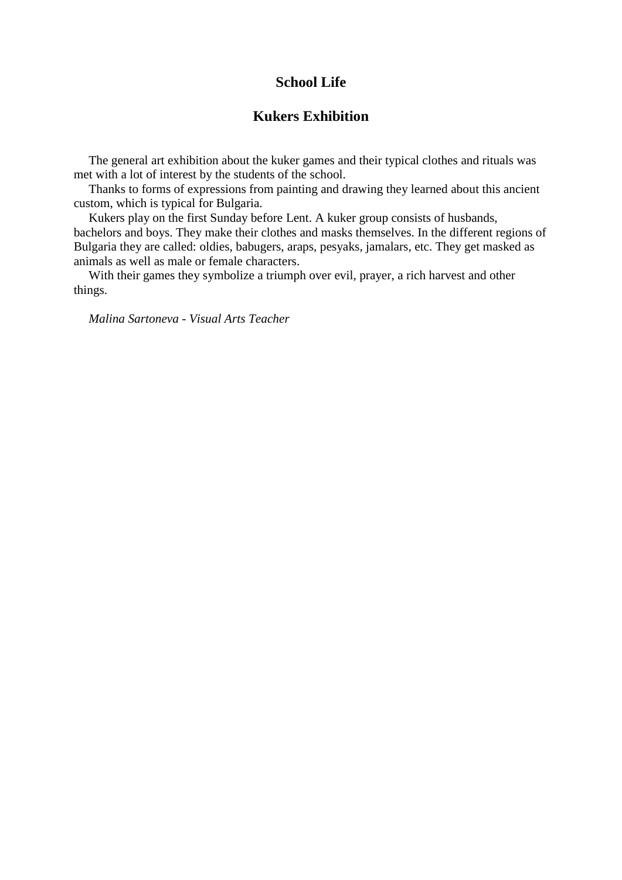# **School Life**

## **Kukers Exhibition**

The general art exhibition about the kuker games and their typical clothes and rituals was met with a lot of interest by the students of the school.

Thanks to forms of expressions from painting and drawing they learned about this ancient custom, which is typical for Bulgaria.

Kukers play on the first Sunday before Lent. A kuker group consists of husbands, bachelors and boys. They make their clothes and masks themselves. In the different regions of Bulgaria they are called: oldies, babugers, araps, pesyaks, jamalars, etc. They get masked as animals as well as male or female characters.

With their games they symbolize a triumph over evil, prayer, a rich harvest and other things.

*Malina Sartoneva - Visual Arts Teacher*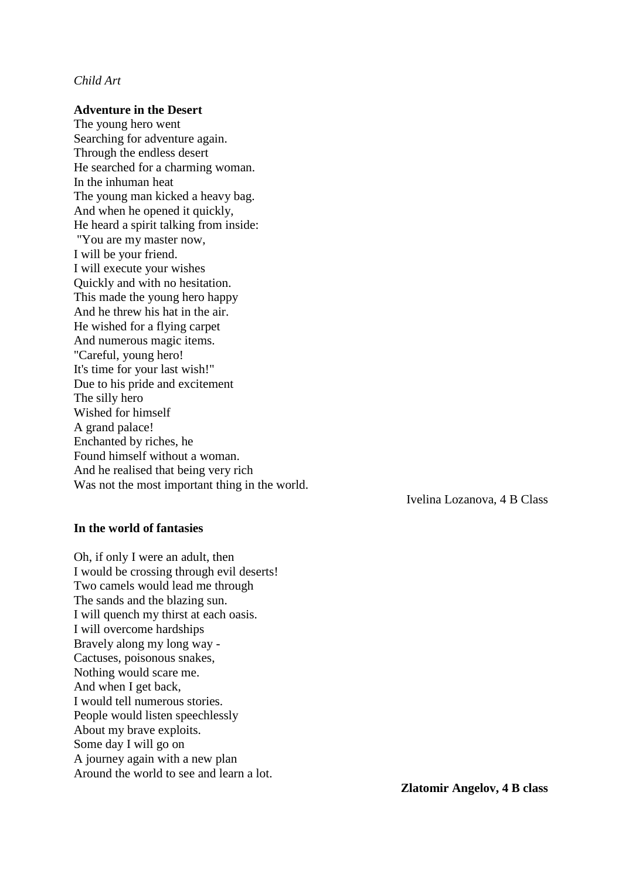### *Child Art*

#### **Adventure in the Desert**

The young hero went Searching for adventure again. Through the endless desert He searched for a charming woman. In the inhuman heat The young man kicked a heavy bag. And when he opened it quickly, He heard a spirit talking from inside: "You are my master now, I will be your friend. I will execute your wishes Quickly and with no hesitation. This made the young hero happy And he threw his hat in the air. He wished for a flying carpet And numerous magic items. "Careful, young hero! It's time for your last wish!" Due to his pride and excitement The silly hero Wished for himself A grand palace! Enchanted by riches, he Found himself without a woman. And he realised that being very rich Was not the most important thing in the world.

Ivelina Lozanova, 4 B Class

#### **In the world of fantasies**

Oh, if only I were an adult, then I would be crossing through evil deserts! Two camels would lead me through The sands and the blazing sun. I will quench my thirst at each oasis. I will overcome hardships Bravely along my long way - Cactuses, poisonous snakes, Nothing would scare me. And when I get back, I would tell numerous stories. People would listen speechlessly About my brave exploits. Some day I will go on A journey again with a new plan Around the world to see and learn a lot.

**Zlatomir Angelov, 4 B class**